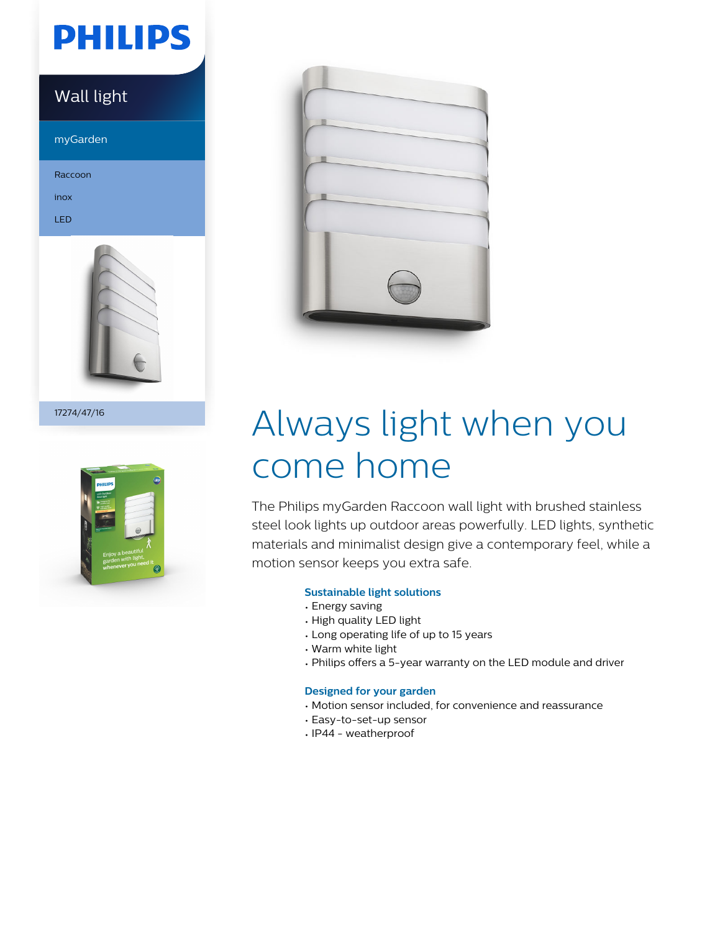# **PHILIPS**

### Wall light

myGarden

Raccoon

inox

LED



17274/47/16





# Always light when you come home

The Philips myGarden Raccoon wall light with brushed stainless steel look lights up outdoor areas powerfully. LED lights, synthetic materials and minimalist design give a contemporary feel, while a motion sensor keeps you extra safe.

### **Sustainable light solutions**

- Energy saving
- High quality LED light
- Long operating life of up to 15 years
- Warm white light
- Philips offers a 5-year warranty on the LED module and driver

### **Designed for your garden**

- Motion sensor included, for convenience and reassurance
- Easy-to-set-up sensor
- IP44 weatherproof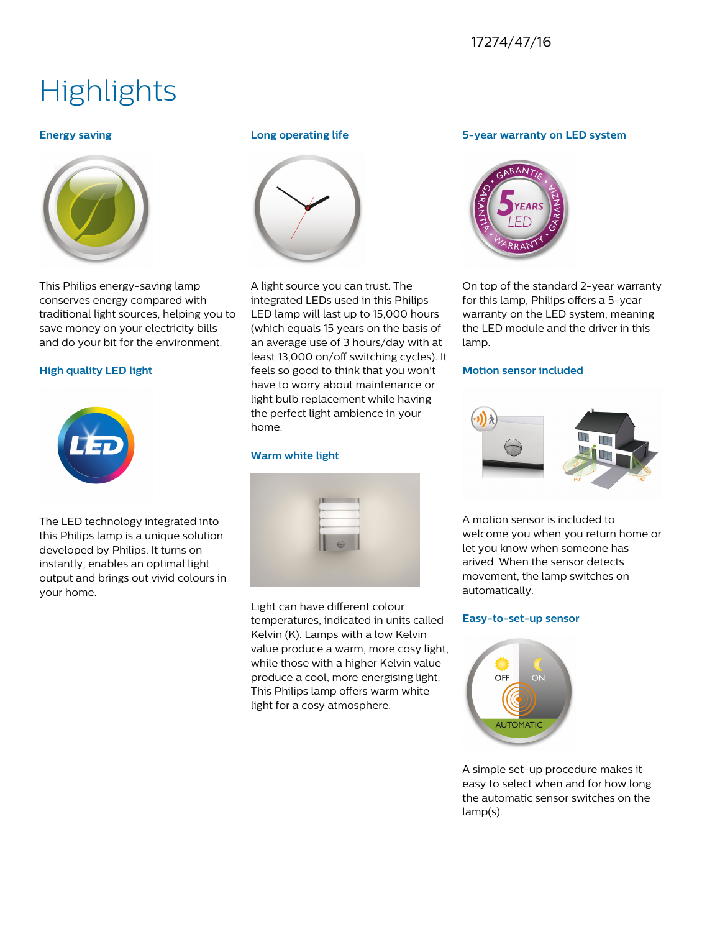### 17274/47/16

## **Highlights**

#### **Energy saving**



This Philips energy-saving lamp conserves energy compared with traditional light sources, helping you to save money on your electricity bills and do your bit for the environment.

#### **High quality LED light**



The LED technology integrated into this Philips lamp is a unique solution developed by Philips. It turns on instantly, enables an optimal light output and brings out vivid colours in your home.

#### **Long operating life**



A light source you can trust. The integrated LEDs used in this Philips LED lamp will last up to 15,000 hours (which equals 15 years on the basis of an average use of 3 hours/day with at least 13,000 on/off switching cycles). It feels so good to think that you won't have to worry about maintenance or light bulb replacement while having the perfect light ambience in your home.

#### **Warm white light**

| b and<br>b and<br>$\sim$ |
|--------------------------|
|--------------------------|

Light can have different colour temperatures, indicated in units called Kelvin (K). Lamps with a low Kelvin value produce a warm, more cosy light, while those with a higher Kelvin value produce a cool, more energising light. This Philips lamp offers warm white light for a cosy atmosphere.

#### **5-year warranty on LED system**



On top of the standard 2-year warranty for this lamp, Philips offers a 5-year warranty on the LED system, meaning the LED module and the driver in this lamp.

#### **Motion sensor included**



A motion sensor is included to welcome you when you return home or let you know when someone has arived. When the sensor detects movement, the lamp switches on automatically.

#### **Easy-to-set-up sensor**



A simple set-up procedure makes it easy to select when and for how long the automatic sensor switches on the lamp(s).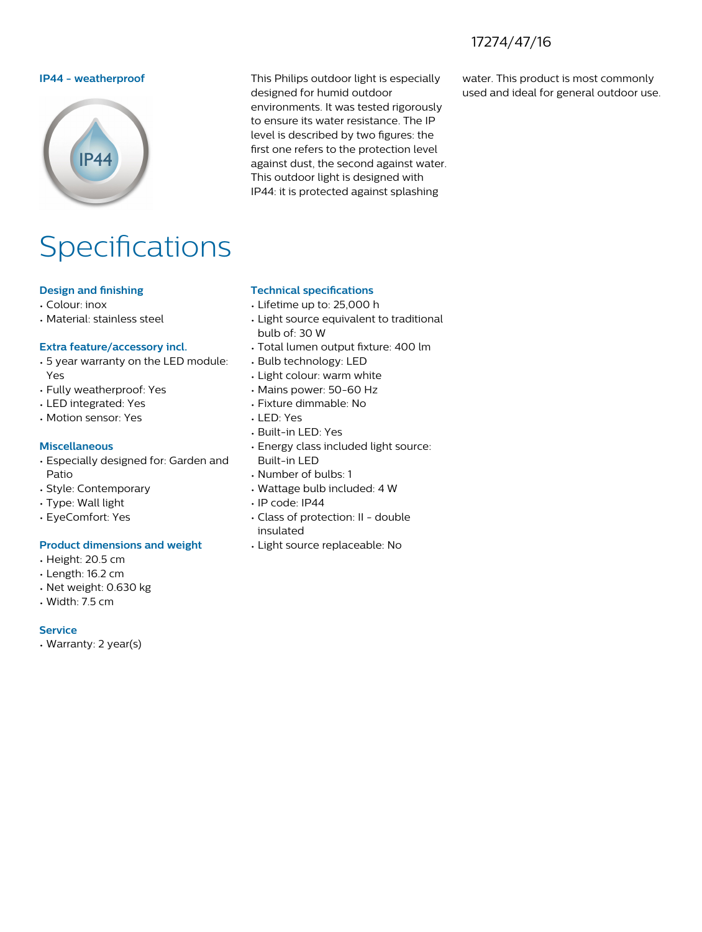### 17274/47/16



# Specifications

#### **Design and finishing**

- Colour: inox
- Material: stainless steel

#### **Extra feature/accessory incl.**

- 5 year warranty on the LED module: Yes
- Fully weatherproof: Yes
- LED integrated: Yes
- Motion sensor: Yes

#### **Miscellaneous**

- Especially designed for: Garden and Patio
- Style: Contemporary
- Type: Wall light
- EyeComfort: Yes

#### **Product dimensions and weight**

- Height: 20.5 cm
- Length: 16.2 cm
- Net weight: 0.630 kg
- Width: 7.5 cm

#### **Service**

• Warranty: 2 year(s)

**IP44 - weatherproof** This Philips outdoor light is especially designed for humid outdoor environments. It was tested rigorously to ensure its water resistance. The IP level is described by two figures: the first one refers to the protection level against dust, the second against water. This outdoor light is designed with IP44: it is protected against splashing

water. This product is most commonly used and ideal for general outdoor use.

#### **Technical specifications**

- Lifetime up to: 25,000 h
- Light source equivalent to traditional bulb of: 30 W
- Total lumen output fixture: 400 lm
- Bulb technology: LED
- Light colour: warm white
- Mains power: 50-60 Hz
- Fixture dimmable: No
- LED: Yes
- Built-in LED: Yes
- Energy class included light source: Built-in LED
- Number of bulbs: 1
- Wattage bulb included: 4 W
- IP code: IP44
- Class of protection: II double insulated
- Light source replaceable: No